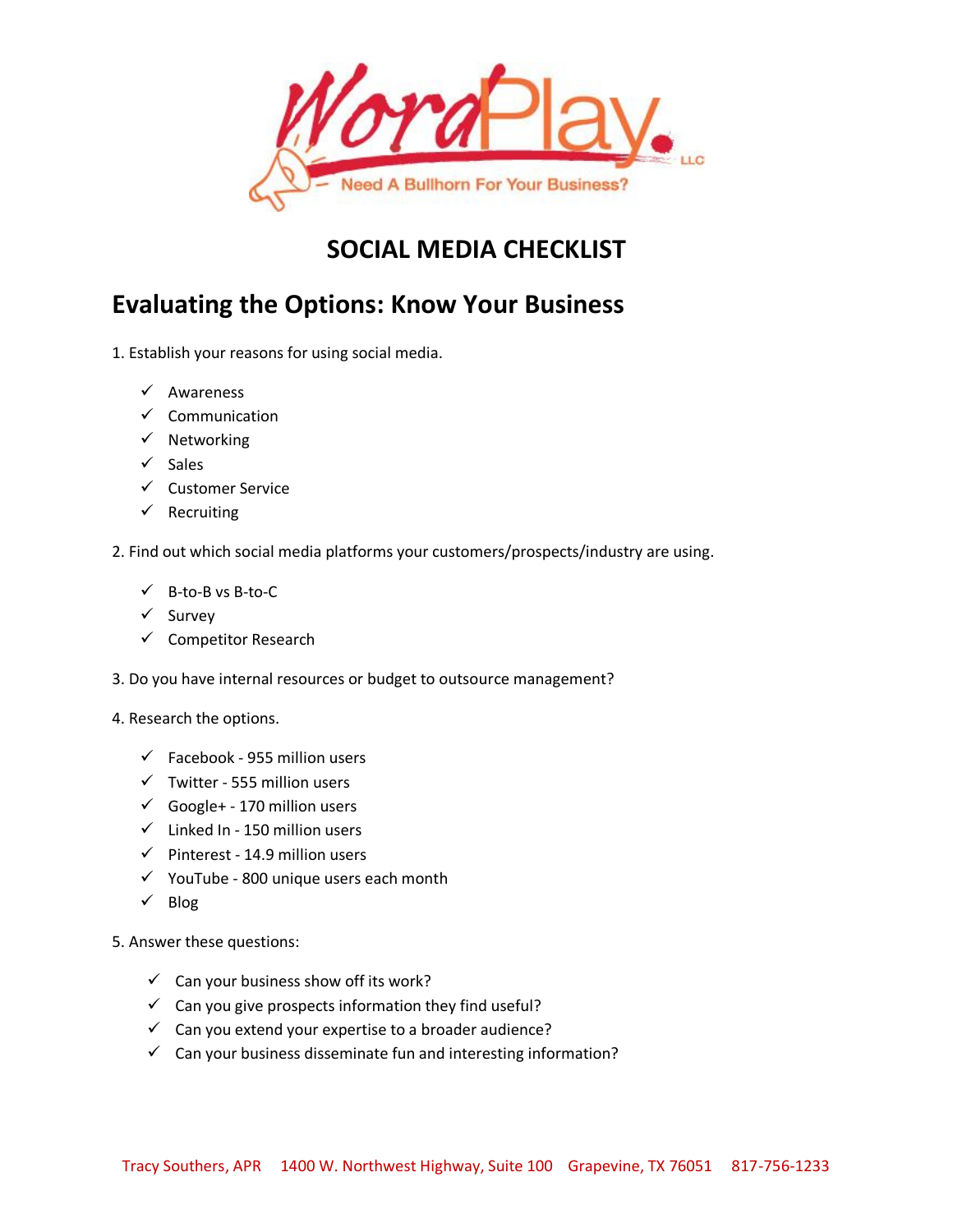

# **SOCIAL MEDIA CHECKLIST**

# **Evaluating the Options: Know Your Business**

- 1. Establish your reasons for using social media.
	- $\checkmark$  Awareness
	- $\checkmark$  Communication
	- $\checkmark$  Networking
	- $\checkmark$  Sales
	- $\checkmark$  Customer Service
	- $\checkmark$  Recruiting

#### 2. Find out which social media platforms your customers/prospects/industry are using.

- $V$  B-to-B vs B-to-C
- $\checkmark$  Survey
- $\checkmark$  Competitor Research
- 3. Do you have internal resources or budget to outsource management?
- 4. Research the options.
	- $\checkmark$  Facebook 955 million users
	- $\checkmark$  Twitter 555 million users
	- $\checkmark$  Google+ 170 million users
	- $\checkmark$  Linked In 150 million users
	- $\checkmark$  Pinterest 14.9 million users
	- $\checkmark$  YouTube 800 unique users each month
	- $\checkmark$  Blog
- 5. Answer these questions:
	- $\checkmark$  Can your business show off its work?
	- $\checkmark$  Can you give prospects information they find useful?
	- $\checkmark$  Can you extend your expertise to a broader audience?
	- $\checkmark$  Can your business disseminate fun and interesting information?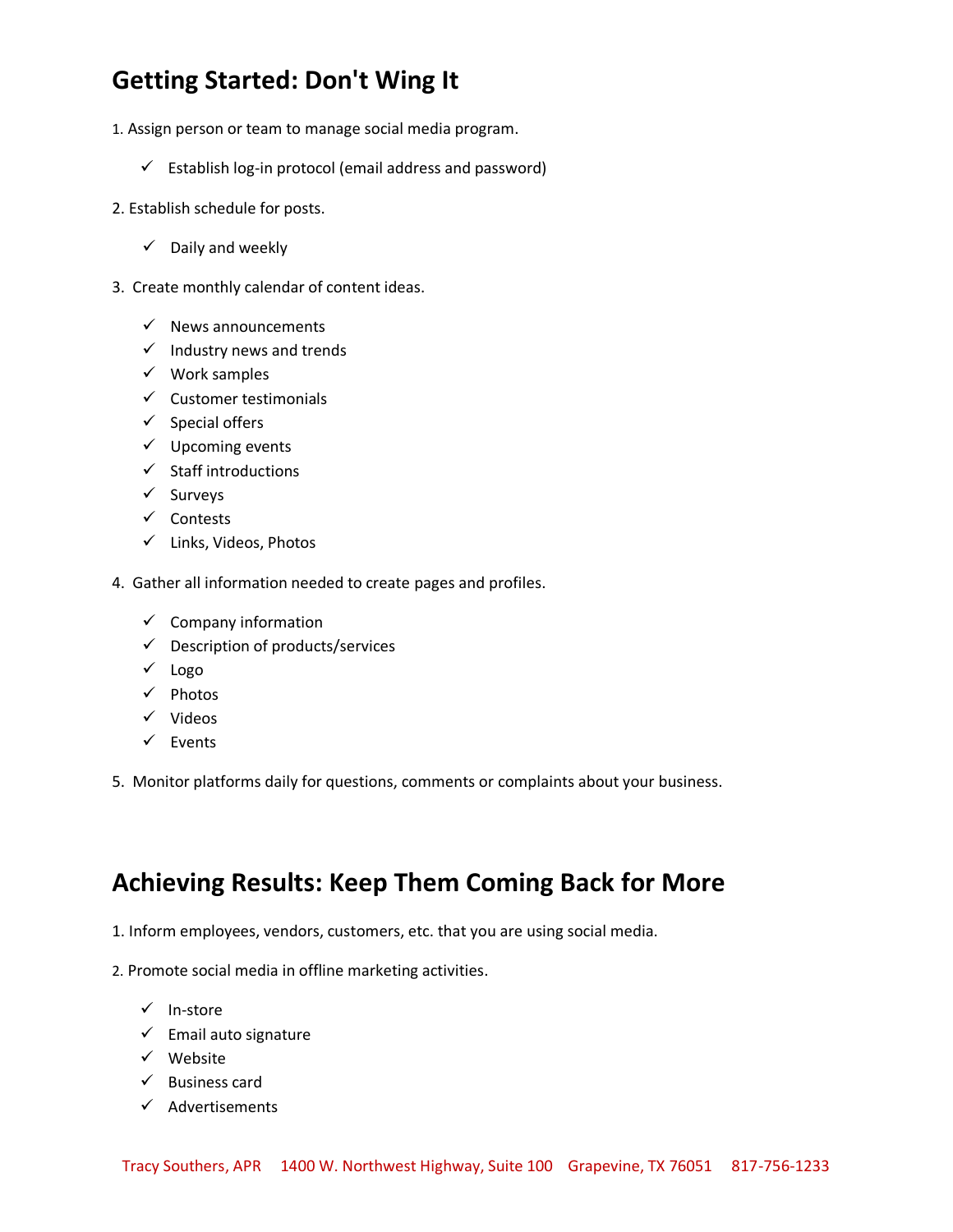# **Getting Started: Don't Wing It**

- 1. Assign person or team to manage social media program.
	- $\checkmark$  Establish log-in protocol (email address and password)
- 2. Establish schedule for posts.
	- $\checkmark$  Daily and weekly
- 3. Create monthly calendar of content ideas.
	- $\checkmark$  News announcements
	- $\checkmark$  Industry news and trends
	- $\checkmark$  Work samples
	- $\checkmark$  Customer testimonials
	- $\checkmark$  Special offers
	- $\checkmark$  Upcoming events
	- $\checkmark$  Staff introductions
	- $\checkmark$  Surveys
	- $\checkmark$  Contests
	- $\checkmark$  Links, Videos, Photos
- 4. Gather all information needed to create pages and profiles.
	- $\checkmark$  Company information
	- $\checkmark$  Description of products/services
	- $\checkmark$  Logo
	- $\checkmark$  Photos
	- $\checkmark$  Videos
	- $\checkmark$  Events
- 5. Monitor platforms daily for questions, comments or complaints about your business.

### **Achieving Results: Keep Them Coming Back for More**

- 1. Inform employees, vendors, customers, etc. that you are using social media.
- 2. Promote social media in offline marketing activities.
	- $\checkmark$  In-store
	- $\checkmark$  Email auto signature
	- $\checkmark$  Website
	- $\checkmark$  Business card
	- $\checkmark$  Advertisements